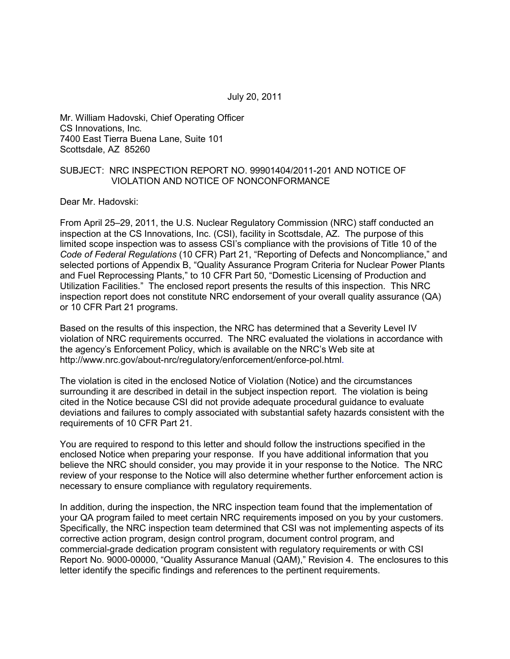July 20, 2011

Mr. William Hadovski, Chief Operating Officer CS Innovations, Inc. 7400 East Tierra Buena Lane, Suite 101 Scottsdale, AZ 85260

#### SUBJECT: NRC INSPECTION REPORT NO. 99901404/2011-201 AND NOTICE OF VIOLATION AND NOTICE OF NONCONFORMANCE

Dear Mr. Hadovski:

From April 25–29, 2011, the U.S. Nuclear Regulatory Commission (NRC) staff conducted an inspection at the CS Innovations, Inc. (CSI), facility in Scottsdale, AZ. The purpose of this limited scope inspection was to assess CSI's compliance with the provisions of Title 10 of the *Code of Federal Regulations* (10 CFR) Part 21, "Reporting of Defects and Noncompliance," and selected portions of Appendix B, "Quality Assurance Program Criteria for Nuclear Power Plants and Fuel Reprocessing Plants," to 10 CFR Part 50, "Domestic Licensing of Production and Utilization Facilities." The enclosed report presents the results of this inspection. This NRC inspection report does not constitute NRC endorsement of your overall quality assurance (QA) or 10 CFR Part 21 programs.

Based on the results of this inspection, the NRC has determined that a Severity Level IV violation of NRC requirements occurred. The NRC evaluated the violations in accordance with the agency's Enforcement Policy, which is available on the NRC's Web site at http://www.nrc.gov/about-nrc/regulatory/enforcement/enforce-pol.html.

The violation is cited in the enclosed Notice of Violation (Notice) and the circumstances surrounding it are described in detail in the subject inspection report. The violation is being cited in the Notice because CSI did not provide adequate procedural guidance to evaluate deviations and failures to comply associated with substantial safety hazards consistent with the requirements of 10 CFR Part 21.

You are required to respond to this letter and should follow the instructions specified in the enclosed Notice when preparing your response. If you have additional information that you believe the NRC should consider, you may provide it in your response to the Notice. The NRC review of your response to the Notice will also determine whether further enforcement action is necessary to ensure compliance with regulatory requirements.

In addition, during the inspection, the NRC inspection team found that the implementation of your QA program failed to meet certain NRC requirements imposed on you by your customers. Specifically, the NRC inspection team determined that CSI was not implementing aspects of its corrective action program, design control program, document control program, and commercial-grade dedication program consistent with regulatory requirements or with CSI Report No. 9000-00000, "Quality Assurance Manual (QAM)," Revision 4. The enclosures to this letter identify the specific findings and references to the pertinent requirements.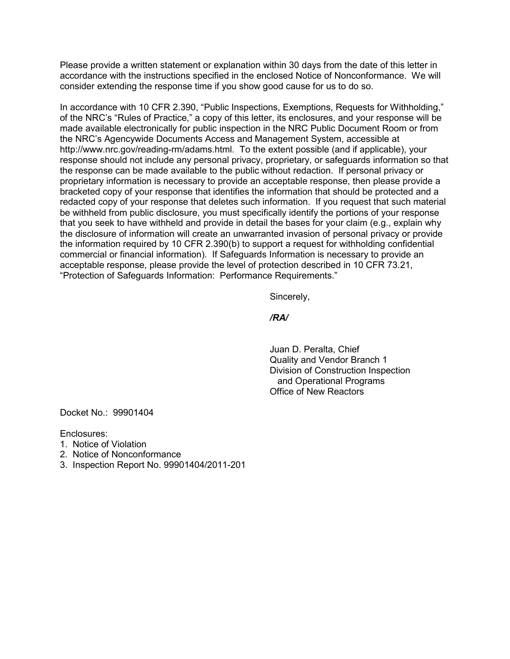Please provide a written statement or explanation within 30 days from the date of this letter in accordance with the instructions specified in the enclosed Notice of Nonconformance. We will consider extending the response time if you show good cause for us to do so.

In accordance with 10 CFR 2.390, "Public Inspections, Exemptions, Requests for Withholding," of the NRC's "Rules of Practice," a copy of this letter, its enclosures, and your response will be made available electronically for public inspection in the NRC Public Document Room or from the NRC's Agencywide Documents Access and Management System, accessible at http://www.nrc.gov/reading-rm/adams.html. To the extent possible (and if applicable), your response should not include any personal privacy, proprietary, or safeguards information so that the response can be made available to the public without redaction. If personal privacy or proprietary information is necessary to provide an acceptable response, then please provide a bracketed copy of your response that identifies the information that should be protected and a redacted copy of your response that deletes such information. If you request that such material be withheld from public disclosure, you must specifically identify the portions of your response that you seek to have withheld and provide in detail the bases for your claim (e.g., explain why the disclosure of information will create an unwarranted invasion of personal privacy or provide the information required by 10 CFR 2.390(b) to support a request for withholding confidential commercial or financial information). If Safeguards Information is necessary to provide an acceptable response, please provide the level of protection described in 10 CFR 73.21, "Protection of Safeguards Information: Performance Requirements."

Sincerely,

#### */RA/*

 Juan D. Peralta, Chief Quality and Vendor Branch 1 Division of Construction Inspection and Operational Programs Office of New Reactors

Docket No.: 99901404

Enclosures:

- 1. Notice of Violation
- 2. Notice of Nonconformance
- 3. Inspection Report No. 99901404/2011-201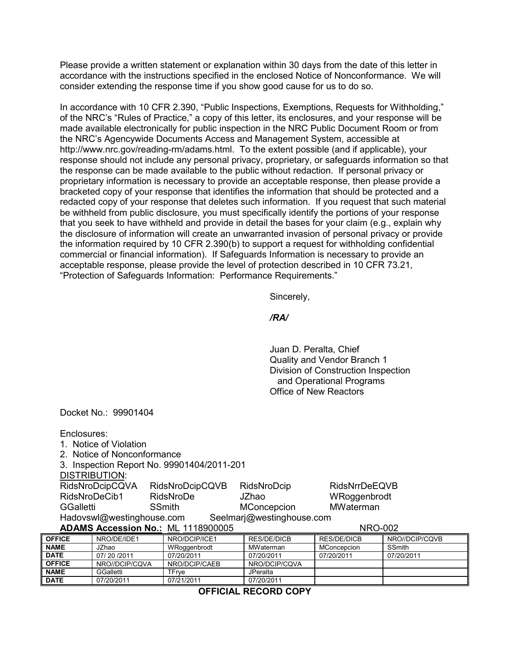Please provide a written statement or explanation within 30 days from the date of this letter in accordance with the instructions specified in the enclosed Notice of Nonconformance. We will consider extending the response time if you show good cause for us to do so.

In accordance with 10 CFR 2.390, "Public Inspections, Exemptions, Requests for Withholding," of the NRC's "Rules of Practice," a copy of this letter, its enclosures, and your response will be made available electronically for public inspection in the NRC Public Document Room or from the NRC's Agencywide Documents Access and Management System, accessible at http://www.nrc.gov/reading-rm/adams.html. To the extent possible (and if applicable), your response should not include any personal privacy, proprietary, or safeguards information so that the response can be made available to the public without redaction. If personal privacy or proprietary information is necessary to provide an acceptable response, then please provide a bracketed copy of your response that identifies the information that should be protected and a redacted copy of your response that deletes such information. If you request that such material be withheld from public disclosure, you must specifically identify the portions of your response that you seek to have withheld and provide in detail the bases for your claim (e.g., explain why the disclosure of information will create an unwarranted invasion of personal privacy or provide the information required by 10 CFR 2.390(b) to support a request for withholding confidential commercial or financial information). If Safeguards Information is necessary to provide an acceptable response, please provide the level of protection described in 10 CFR 73.21, "Protection of Safeguards Information: Performance Requirements."

Sincerely,

#### */RA/*

 Juan D. Peralta, Chief Quality and Vendor Branch 1 Division of Construction Inspection and Operational Programs Office of New Reactors

Docket No.: 99901404

Enclosures:

- 1. Notice of Violation
- 2. Notice of Nonconformance

3. Inspection Report No. 99901404/2011-201

DISTRIBUTION:

RidsNroDcipCQVA RidsNroDcipCQVB RidsNroDcip RidsNrrDeEQVB RidsNroDeCib1 RidsNroDe JZhao WRoggenbrodt GGalletti SSmith MConcepcion MWaterman Hadovswl@westinghouse.com Seelmarj@westinghouse.com

## **ADAMS Accession No.:** ML 1118900005 NRO-002

| <b>OFFICE</b> | NRO/DE/IDE1    | NRO/DCIP/ICE1 | RES/DE/DICB   | RES/DE/DICB | NRO//DCIP/CQVB |
|---------------|----------------|---------------|---------------|-------------|----------------|
| <b>NAME</b>   | JZhao          | WRoggenbrodt  | MWaterman     | MConcepcion | SSmith         |
| <b>DATE</b>   | 07/20/2011     | 07/20/2011    | 07/20/2011    | 07/20/2011  | 07/20/2011     |
| <b>OFFICE</b> | NRO//DCIP/COVA | NRO/DCIP/CAEB | NRO/DCIP/COVA |             |                |
| <b>NAME</b>   | GGalletti      | TFrve         | JPeralta      |             |                |
| <b>DATE</b>   | 07/20/2011     | 07/21/2011    | 07/20/2011    |             |                |

**OFFICIAL RECORD COPY**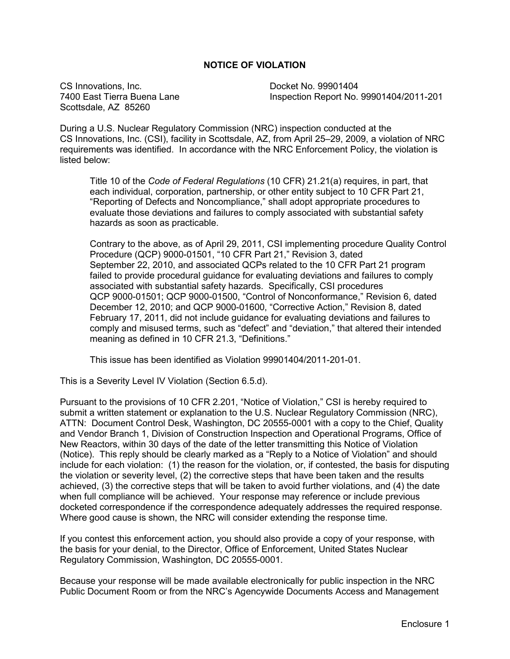#### **NOTICE OF VIOLATION**

CS Innovations, Inc. Docket No. 99901404 Scottsdale, AZ 85260

7400 East Tierra Buena Lane Inspection Report No. 99901404/2011-201

During a U.S. Nuclear Regulatory Commission (NRC) inspection conducted at the CS Innovations, Inc. (CSI), facility in Scottsdale, AZ, from April 25–29, 2009, a violation of NRC requirements was identified. In accordance with the NRC Enforcement Policy, the violation is listed below:

Title 10 of the *Code of Federal Regulations* (10 CFR) 21.21(a) requires, in part, that each individual, corporation, partnership, or other entity subject to 10 CFR Part 21, "Reporting of Defects and Noncompliance," shall adopt appropriate procedures to evaluate those deviations and failures to comply associated with substantial safety hazards as soon as practicable.

Contrary to the above, as of April 29, 2011, CSI implementing procedure Quality Control Procedure (QCP) 9000-01501, "10 CFR Part 21," Revision 3, dated September 22, 2010, and associated QCPs related to the 10 CFR Part 21 program failed to provide procedural guidance for evaluating deviations and failures to comply associated with substantial safety hazards. Specifically, CSI procedures QCP 9000-01501; QCP 9000-01500, "Control of Nonconformance," Revision 6, dated December 12, 2010; and QCP 9000-01600, "Corrective Action," Revision 8, dated February 17, 2011, did not include guidance for evaluating deviations and failures to comply and misused terms, such as "defect" and "deviation," that altered their intended meaning as defined in 10 CFR 21.3, "Definitions."

This issue has been identified as Violation 99901404/2011-201-01.

This is a Severity Level IV Violation (Section 6.5.d).

Pursuant to the provisions of 10 CFR 2.201, "Notice of Violation," CSI is hereby required to submit a written statement or explanation to the U.S. Nuclear Regulatory Commission (NRC), ATTN: Document Control Desk, Washington, DC 20555-0001 with a copy to the Chief, Quality and Vendor Branch 1, Division of Construction Inspection and Operational Programs, Office of New Reactors, within 30 days of the date of the letter transmitting this Notice of Violation (Notice). This reply should be clearly marked as a "Reply to a Notice of Violation" and should include for each violation: (1) the reason for the violation, or, if contested, the basis for disputing the violation or severity level, (2) the corrective steps that have been taken and the results achieved, (3) the corrective steps that will be taken to avoid further violations, and (4) the date when full compliance will be achieved. Your response may reference or include previous docketed correspondence if the correspondence adequately addresses the required response. Where good cause is shown, the NRC will consider extending the response time.

If you contest this enforcement action, you should also provide a copy of your response, with the basis for your denial, to the Director, Office of Enforcement, United States Nuclear Regulatory Commission, Washington, DC 20555-0001.

Because your response will be made available electronically for public inspection in the NRC Public Document Room or from the NRC's Agencywide Documents Access and Management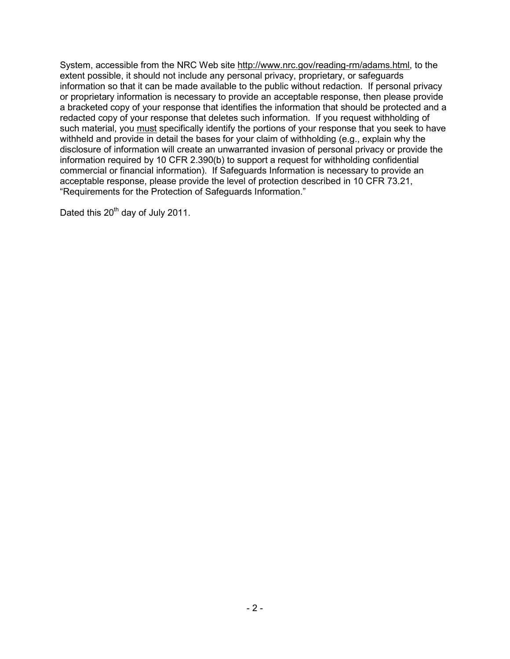System, accessible from the NRC Web site http://www.nrc.gov/reading-rm/adams.html, to the extent possible, it should not include any personal privacy, proprietary, or safeguards information so that it can be made available to the public without redaction. If personal privacy or proprietary information is necessary to provide an acceptable response, then please provide a bracketed copy of your response that identifies the information that should be protected and a redacted copy of your response that deletes such information. If you request withholding of such material, you must specifically identify the portions of your response that you seek to have withheld and provide in detail the bases for your claim of withholding (e.g., explain why the disclosure of information will create an unwarranted invasion of personal privacy or provide the information required by 10 CFR 2.390(b) to support a request for withholding confidential commercial or financial information). If Safeguards Information is necessary to provide an acceptable response, please provide the level of protection described in 10 CFR 73.21, "Requirements for the Protection of Safeguards Information."

Dated this 20<sup>th</sup> day of July 2011.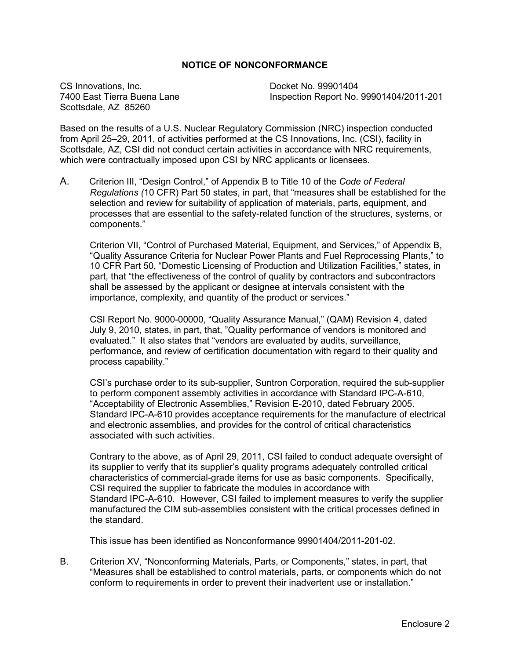#### **NOTICE OF NONCONFORMANCE**

CS Innovations, Inc. Docket No. 99901404 Scottsdale, AZ 85260

7400 East Tierra Buena Lane Inspection Report No. 99901404/2011-201

Based on the results of a U.S. Nuclear Regulatory Commission (NRC) inspection conducted from April 25–29, 2011, of activities performed at the CS Innovations, Inc. (CSI), facility in Scottsdale, AZ, CSI did not conduct certain activities in accordance with NRC requirements, which were contractually imposed upon CSI by NRC applicants or licensees.

A. Criterion III, "Design Control," of Appendix B to Title 10 of the *Code of Federal Regulations (*10 CFR) Part 50 states, in part, that "measures shall be established for the selection and review for suitability of application of materials, parts, equipment, and processes that are essential to the safety-related function of the structures, systems, or components."

Criterion VII, "Control of Purchased Material, Equipment, and Services," of Appendix B, "Quality Assurance Criteria for Nuclear Power Plants and Fuel Reprocessing Plants," to 10 CFR Part 50, "Domestic Licensing of Production and Utilization Facilities," states, in part, that "the effectiveness of the control of quality by contractors and subcontractors shall be assessed by the applicant or designee at intervals consistent with the importance, complexity, and quantity of the product or services."

 CSI Report No. 9000-00000, "Quality Assurance Manual," (QAM) Revision 4, dated July 9, 2010, states, in part, that, "Quality performance of vendors is monitored and evaluated." It also states that "vendors are evaluated by audits, surveillance, performance, and review of certification documentation with regard to their quality and process capability."

 CSI's purchase order to its sub-supplier, Suntron Corporation, required the sub-supplier to perform component assembly activities in accordance with Standard IPC-A-610, "Acceptability of Electronic Assemblies," Revision E-2010, dated February 2005. Standard IPC-A-610 provides acceptance requirements for the manufacture of electrical and electronic assemblies, and provides for the control of critical characteristics associated with such activities.

Contrary to the above, as of April 29, 2011, CSI failed to conduct adequate oversight of its supplier to verify that its supplier's quality programs adequately controlled critical characteristics of commercial-grade items for use as basic components. Specifically, CSI required the supplier to fabricate the modules in accordance with Standard IPC-A-610. However, CSI failed to implement measures to verify the supplier manufactured the CIM sub-assemblies consistent with the critical processes defined in the standard.

This issue has been identified as Nonconformance 99901404/2011-201-02.

B. Criterion XV, "Nonconforming Materials, Parts, or Components," states, in part, that "Measures shall be established to control materials, parts, or components which do not conform to requirements in order to prevent their inadvertent use or installation."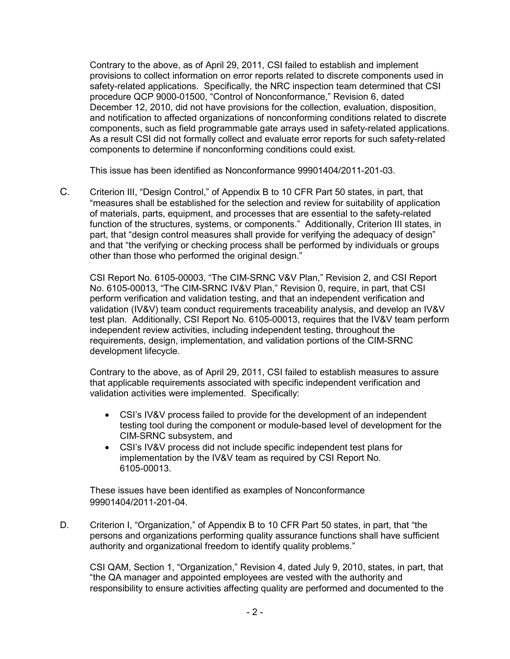Contrary to the above, as of April 29, 2011, CSI failed to establish and implement provisions to collect information on error reports related to discrete components used in safety-related applications. Specifically, the NRC inspection team determined that CSI procedure QCP 9000-01500, "Control of Nonconformance," Revision 6, dated December 12, 2010, did not have provisions for the collection, evaluation, disposition, and notification to affected organizations of nonconforming conditions related to discrete components, such as field programmable gate arrays used in safety-related applications. As a result CSI did not formally collect and evaluate error reports for such safety-related components to determine if nonconforming conditions could exist.

This issue has been identified as Nonconformance 99901404/2011-201-03.

C. Criterion III, "Design Control," of Appendix B to 10 CFR Part 50 states, in part, that "measures shall be established for the selection and review for suitability of application of materials, parts, equipment, and processes that are essential to the safety-related function of the structures, systems, or components." Additionally, Criterion III states, in part, that "design control measures shall provide for verifying the adequacy of design" and that "the verifying or checking process shall be performed by individuals or groups other than those who performed the original design."

CSI Report No. 6105-00003, "The CIM-SRNC V&V Plan," Revision 2, and CSI Report No. 6105-00013, "The CIM-SRNC IV&V Plan," Revision 0, require, in part, that CSI perform verification and validation testing, and that an independent verification and validation (IV&V) team conduct requirements traceability analysis, and develop an IV&V test plan. Additionally, CSI Report No. 6105-00013, requires that the IV&V team perform independent review activities, including independent testing, throughout the requirements, design, implementation, and validation portions of the CIM-SRNC development lifecycle.

Contrary to the above, as of April 29, 2011, CSI failed to establish measures to assure that applicable requirements associated with specific independent verification and validation activities were implemented. Specifically:

- CSI's IV&V process failed to provide for the development of an independent testing tool during the component or module-based level of development for the CIM-SRNC subsystem, and
- CSI's IV&V process did not include specific independent test plans for implementation by the IV&V team as required by CSI Report No. 6105-00013.

These issues have been identified as examples of Nonconformance 99901404/2011-201-04.

D. Criterion I, "Organization," of Appendix B to 10 CFR Part 50 states, in part, that "the persons and organizations performing quality assurance functions shall have sufficient authority and organizational freedom to identify quality problems."

CSI QAM, Section 1, "Organization," Revision 4, dated July 9, 2010, states, in part, that "the QA manager and appointed employees are vested with the authority and responsibility to ensure activities affecting quality are performed and documented to the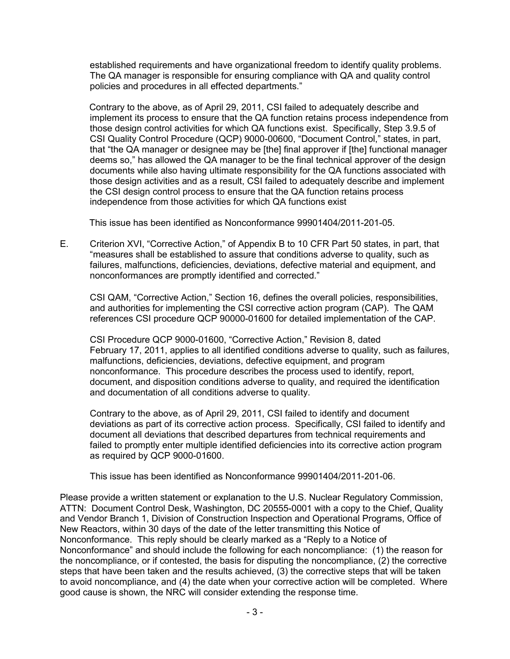established requirements and have organizational freedom to identify quality problems. The QA manager is responsible for ensuring compliance with QA and quality control policies and procedures in all effected departments."

Contrary to the above, as of April 29, 2011, CSI failed to adequately describe and implement its process to ensure that the QA function retains process independence from those design control activities for which QA functions exist. Specifically, Step 3.9.5 of CSI Quality Control Procedure (QCP) 9000-00600, "Document Control," states, in part, that "the QA manager or designee may be [the] final approver if [the] functional manager deems so," has allowed the QA manager to be the final technical approver of the design documents while also having ultimate responsibility for the QA functions associated with those design activities and as a result, CSI failed to adequately describe and implement the CSI design control process to ensure that the QA function retains process independence from those activities for which QA functions exist

This issue has been identified as Nonconformance 99901404/2011-201-05.

E. Criterion XVI, "Corrective Action," of Appendix B to 10 CFR Part 50 states, in part, that "measures shall be established to assure that conditions adverse to quality, such as failures, malfunctions, deficiencies, deviations, defective material and equipment, and nonconformances are promptly identified and corrected."

CSI QAM, "Corrective Action," Section 16, defines the overall policies, responsibilities, and authorities for implementing the CSI corrective action program (CAP). The QAM references CSI procedure QCP 90000-01600 for detailed implementation of the CAP.

CSI Procedure QCP 9000-01600, "Corrective Action," Revision 8, dated February 17, 2011, applies to all identified conditions adverse to quality, such as failures, malfunctions, deficiencies, deviations, defective equipment, and program nonconformance. This procedure describes the process used to identify, report, document, and disposition conditions adverse to quality, and required the identification and documentation of all conditions adverse to quality.

Contrary to the above, as of April 29, 2011, CSI failed to identify and document deviations as part of its corrective action process. Specifically, CSI failed to identify and document all deviations that described departures from technical requirements and failed to promptly enter multiple identified deficiencies into its corrective action program as required by QCP 9000-01600.

This issue has been identified as Nonconformance 99901404/2011-201-06.

Please provide a written statement or explanation to the U.S. Nuclear Regulatory Commission, ATTN: Document Control Desk, Washington, DC 20555-0001 with a copy to the Chief, Quality and Vendor Branch 1, Division of Construction Inspection and Operational Programs, Office of New Reactors, within 30 days of the date of the letter transmitting this Notice of Nonconformance. This reply should be clearly marked as a "Reply to a Notice of Nonconformance" and should include the following for each noncompliance: (1) the reason for the noncompliance, or if contested, the basis for disputing the noncompliance, (2) the corrective steps that have been taken and the results achieved, (3) the corrective steps that will be taken to avoid noncompliance, and (4) the date when your corrective action will be completed. Where good cause is shown, the NRC will consider extending the response time.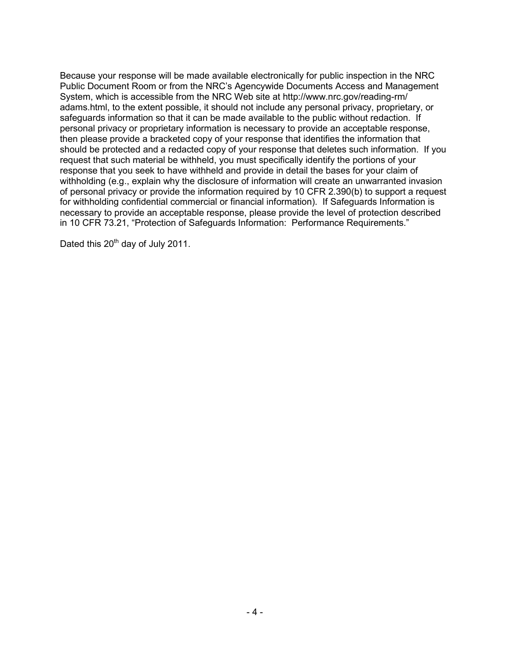Because your response will be made available electronically for public inspection in the NRC Public Document Room or from the NRC's Agencywide Documents Access and Management System, which is accessible from the NRC Web site at http://www.nrc.gov/reading-rm/ adams.html, to the extent possible, it should not include any personal privacy, proprietary, or safeguards information so that it can be made available to the public without redaction. If personal privacy or proprietary information is necessary to provide an acceptable response, then please provide a bracketed copy of your response that identifies the information that should be protected and a redacted copy of your response that deletes such information. If you request that such material be withheld, you must specifically identify the portions of your response that you seek to have withheld and provide in detail the bases for your claim of withholding (e.g., explain why the disclosure of information will create an unwarranted invasion of personal privacy or provide the information required by 10 CFR 2.390(b) to support a request for withholding confidential commercial or financial information). If Safeguards Information is necessary to provide an acceptable response, please provide the level of protection described in 10 CFR 73.21, "Protection of Safeguards Information: Performance Requirements."

Dated this 20<sup>th</sup> day of July 2011.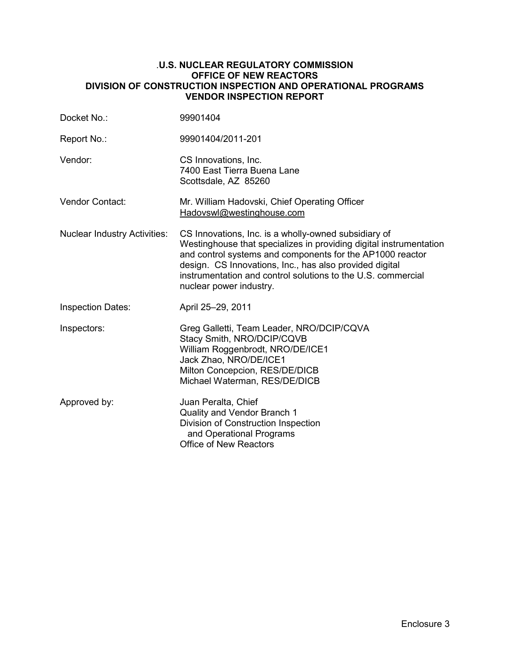#### .**U.S. NUCLEAR REGULATORY COMMISSION OFFICE OF NEW REACTORS DIVISION OF CONSTRUCTION INSPECTION AND OPERATIONAL PROGRAMS VENDOR INSPECTION REPORT**

| Docket No.:                         | 99901404                                                                                                                                                                                                                                                                                                                                      |
|-------------------------------------|-----------------------------------------------------------------------------------------------------------------------------------------------------------------------------------------------------------------------------------------------------------------------------------------------------------------------------------------------|
| Report No.:                         | 99901404/2011-201                                                                                                                                                                                                                                                                                                                             |
| Vendor:                             | CS Innovations, Inc.<br>7400 East Tierra Buena Lane<br>Scottsdale, AZ 85260                                                                                                                                                                                                                                                                   |
| <b>Vendor Contact:</b>              | Mr. William Hadovski, Chief Operating Officer<br>Hadovswl@westinghouse.com                                                                                                                                                                                                                                                                    |
| <b>Nuclear Industry Activities:</b> | CS Innovations, Inc. is a wholly-owned subsidiary of<br>Westinghouse that specializes in providing digital instrumentation<br>and control systems and components for the AP1000 reactor<br>design. CS Innovations, Inc., has also provided digital<br>instrumentation and control solutions to the U.S. commercial<br>nuclear power industry. |
| <b>Inspection Dates:</b>            | April 25-29, 2011                                                                                                                                                                                                                                                                                                                             |
| Inspectors:                         | Greg Galletti, Team Leader, NRO/DCIP/CQVA<br>Stacy Smith, NRO/DCIP/CQVB<br>William Roggenbrodt, NRO/DE/ICE1<br>Jack Zhao, NRO/DE/ICE1<br>Milton Concepcion, RES/DE/DICB<br>Michael Waterman, RES/DE/DICB                                                                                                                                      |
| Approved by:                        | Juan Peralta, Chief<br>Quality and Vendor Branch 1<br>Division of Construction Inspection<br>and Operational Programs<br><b>Office of New Reactors</b>                                                                                                                                                                                        |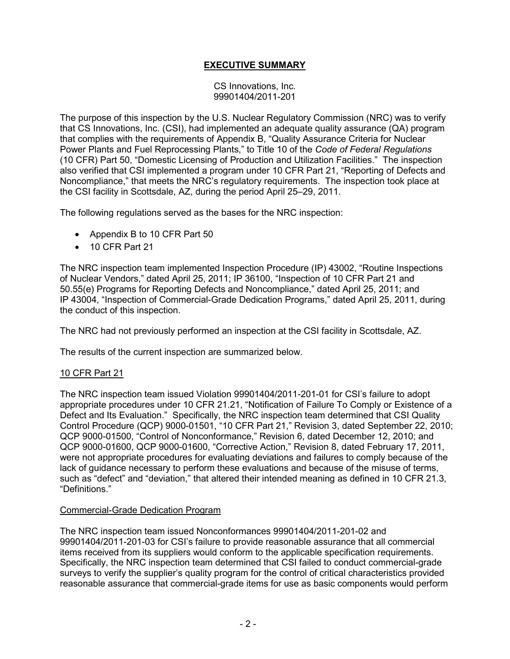# **EXECUTIVE SUMMARY**

CS Innovations, Inc. 99901404/2011-201

The purpose of this inspection by the U.S. Nuclear Regulatory Commission (NRC) was to verify that CS Innovations, Inc. (CSI), had implemented an adequate quality assurance (QA) program that complies with the requirements of Appendix B, "Quality Assurance Criteria for Nuclear Power Plants and Fuel Reprocessing Plants," to Title 10 of the *Code of Federal Regulations*  (10 CFR) Part 50, "Domestic Licensing of Production and Utilization Facilities." The inspection also verified that CSI implemented a program under 10 CFR Part 21, "Reporting of Defects and Noncompliance," that meets the NRC's regulatory requirements. The inspection took place at the CSI facility in Scottsdale, AZ, during the period April 25–29, 2011.

The following regulations served as the bases for the NRC inspection:

- Appendix B to 10 CFR Part 50
- 10 CFR Part 21

The NRC inspection team implemented Inspection Procedure (IP) 43002, "Routine Inspections of Nuclear Vendors," dated April 25, 2011; IP 36100, "Inspection of 10 CFR Part 21 and 50.55(e) Programs for Reporting Defects and Noncompliance," dated April 25, 2011; and IP 43004, "Inspection of Commercial-Grade Dedication Programs," dated April 25, 2011, during the conduct of this inspection.

The NRC had not previously performed an inspection at the CSI facility in Scottsdale, AZ.

The results of the current inspection are summarized below.

## 10 CFR Part 21

The NRC inspection team issued Violation 99901404/2011-201-01 for CSI's failure to adopt appropriate procedures under 10 CFR 21.21, "Notification of Failure To Comply or Existence of a Defect and Its Evaluation." Specifically, the NRC inspection team determined that CSI Quality Control Procedure (QCP) 9000-01501, "10 CFR Part 21," Revision 3, dated September 22, 2010; QCP 9000-01500, "Control of Nonconformance," Revision 6, dated December 12, 2010; and QCP 9000-01600, QCP 9000-01600, "Corrective Action," Revision 8, dated February 17, 2011, were not appropriate procedures for evaluating deviations and failures to comply because of the lack of guidance necessary to perform these evaluations and because of the misuse of terms, such as "defect" and "deviation," that altered their intended meaning as defined in 10 CFR 21.3, "Definitions."

#### Commercial-Grade Dedication Program

The NRC inspection team issued Nonconformances 99901404/2011-201-02 and 99901404/2011-201-03 for CSI's failure to provide reasonable assurance that all commercial items received from its suppliers would conform to the applicable specification requirements. Specifically, the NRC inspection team determined that CSI failed to conduct commercial-grade surveys to verify the supplier's quality program for the control of critical characteristics provided reasonable assurance that commercial-grade items for use as basic components would perform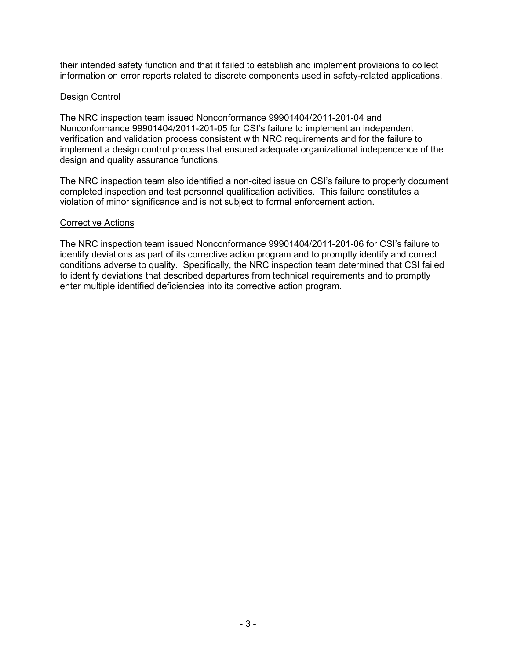their intended safety function and that it failed to establish and implement provisions to collect information on error reports related to discrete components used in safety-related applications.

## Design Control

The NRC inspection team issued Nonconformance 99901404/2011-201-04 and Nonconformance 99901404/2011-201-05 for CSI's failure to implement an independent verification and validation process consistent with NRC requirements and for the failure to implement a design control process that ensured adequate organizational independence of the design and quality assurance functions.

The NRC inspection team also identified a non-cited issue on CSI's failure to properly document completed inspection and test personnel qualification activities. This failure constitutes a violation of minor significance and is not subject to formal enforcement action.

#### Corrective Actions

The NRC inspection team issued Nonconformance 99901404/2011-201-06 for CSI's failure to identify deviations as part of its corrective action program and to promptly identify and correct conditions adverse to quality. Specifically, the NRC inspection team determined that CSI failed to identify deviations that described departures from technical requirements and to promptly enter multiple identified deficiencies into its corrective action program.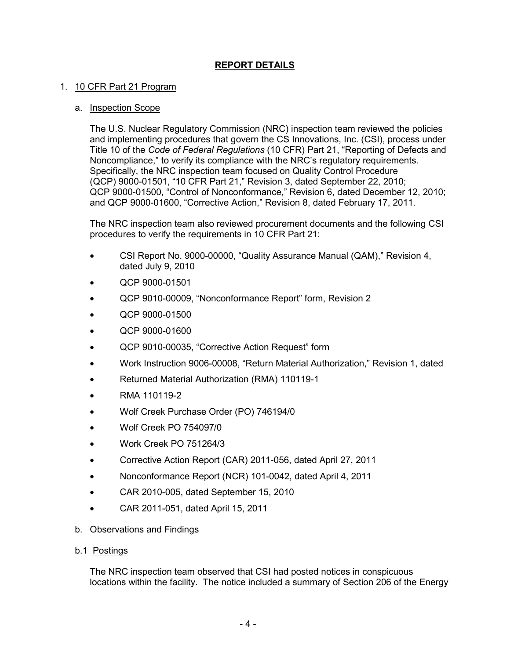# **REPORT DETAILS**

## 1. 10 CFR Part 21 Program

#### a. Inspection Scope

The U.S. Nuclear Regulatory Commission (NRC) inspection team reviewed the policies and implementing procedures that govern the CS Innovations, Inc. (CSI), process under Title 10 of the *Code of Federal Regulations* (10 CFR) Part 21, "Reporting of Defects and Noncompliance," to verify its compliance with the NRC's regulatory requirements. Specifically, the NRC inspection team focused on Quality Control Procedure (QCP) 9000-01501, "10 CFR Part 21," Revision 3, dated September 22, 2010; QCP 9000-01500, "Control of Nonconformance," Revision 6, dated December 12, 2010; and QCP 9000-01600, "Corrective Action," Revision 8, dated February 17, 2011.

The NRC inspection team also reviewed procurement documents and the following CSI procedures to verify the requirements in 10 CFR Part 21:

- CSI Report No. 9000-00000, "Quality Assurance Manual (QAM)," Revision 4, dated July 9, 2010
- QCP 9000-01501
- QCP 9010-00009, "Nonconformance Report" form, Revision 2
- QCP 9000-01500
- QCP 9000-01600
- QCP 9010-00035, "Corrective Action Request" form
- Work Instruction 9006-00008, "Return Material Authorization," Revision 1, dated
- Returned Material Authorization (RMA) 110119-1
- RMA 110119-2
- Wolf Creek Purchase Order (PO) 746194/0
- Wolf Creek PO 754097/0
- Work Creek PO 751264/3
- Corrective Action Report (CAR) 2011-056, dated April 27, 2011
- Nonconformance Report (NCR) 101-0042, dated April 4, 2011
- CAR 2010-005, dated September 15, 2010
- CAR 2011-051, dated April 15, 2011

# b. Observations and Findings

b.1 Postings

The NRC inspection team observed that CSI had posted notices in conspicuous locations within the facility. The notice included a summary of Section 206 of the Energy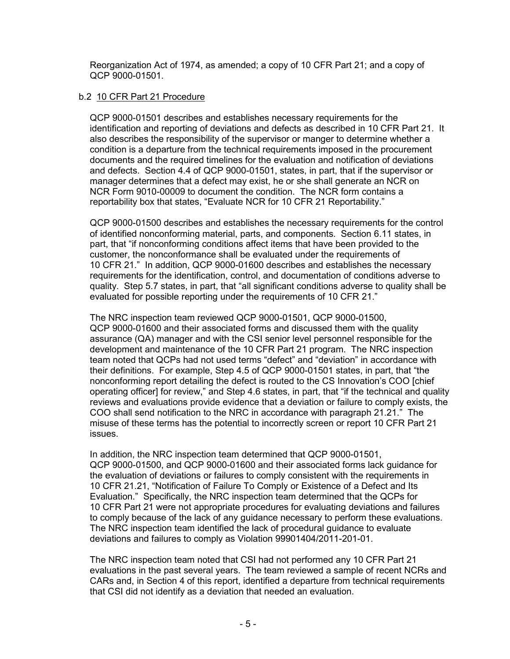Reorganization Act of 1974, as amended; a copy of 10 CFR Part 21; and a copy of QCP 9000-01501.

## b.2 10 CFR Part 21 Procedure

QCP 9000-01501 describes and establishes necessary requirements for the identification and reporting of deviations and defects as described in 10 CFR Part 21. It also describes the responsibility of the supervisor or manger to determine whether a condition is a departure from the technical requirements imposed in the procurement documents and the required timelines for the evaluation and notification of deviations and defects. Section 4.4 of QCP 9000-01501, states, in part, that if the supervisor or manager determines that a defect may exist, he or she shall generate an NCR on NCR Form 9010-00009 to document the condition. The NCR form contains a reportability box that states, "Evaluate NCR for 10 CFR 21 Reportability."

QCP 9000-01500 describes and establishes the necessary requirements for the control of identified nonconforming material, parts, and components. Section 6.11 states, in part, that "if nonconforming conditions affect items that have been provided to the customer, the nonconformance shall be evaluated under the requirements of 10 CFR 21." In addition, QCP 9000-01600 describes and establishes the necessary requirements for the identification, control, and documentation of conditions adverse to quality. Step 5.7 states, in part, that "all significant conditions adverse to quality shall be evaluated for possible reporting under the requirements of 10 CFR 21."

The NRC inspection team reviewed QCP 9000-01501, QCP 9000-01500, QCP 9000-01600 and their associated forms and discussed them with the quality assurance (QA) manager and with the CSI senior level personnel responsible for the development and maintenance of the 10 CFR Part 21 program. The NRC inspection team noted that QCPs had not used terms "defect" and "deviation" in accordance with their definitions. For example, Step 4.5 of QCP 9000-01501 states, in part, that "the nonconforming report detailing the defect is routed to the CS Innovation's COO [chief operating officer] for review," and Step 4.6 states, in part, that "if the technical and quality reviews and evaluations provide evidence that a deviation or failure to comply exists, the COO shall send notification to the NRC in accordance with paragraph 21.21." The misuse of these terms has the potential to incorrectly screen or report 10 CFR Part 21 issues.

In addition, the NRC inspection team determined that QCP 9000-01501, QCP 9000-01500, and QCP 9000-01600 and their associated forms lack guidance for the evaluation of deviations or failures to comply consistent with the requirements in 10 CFR 21.21, "Notification of Failure To Comply or Existence of a Defect and Its Evaluation." Specifically, the NRC inspection team determined that the QCPs for 10 CFR Part 21 were not appropriate procedures for evaluating deviations and failures to comply because of the lack of any guidance necessary to perform these evaluations. The NRC inspection team identified the lack of procedural guidance to evaluate deviations and failures to comply as Violation 99901404/2011-201-01.

The NRC inspection team noted that CSI had not performed any 10 CFR Part 21 evaluations in the past several years. The team reviewed a sample of recent NCRs and CARs and, in Section 4 of this report, identified a departure from technical requirements that CSI did not identify as a deviation that needed an evaluation.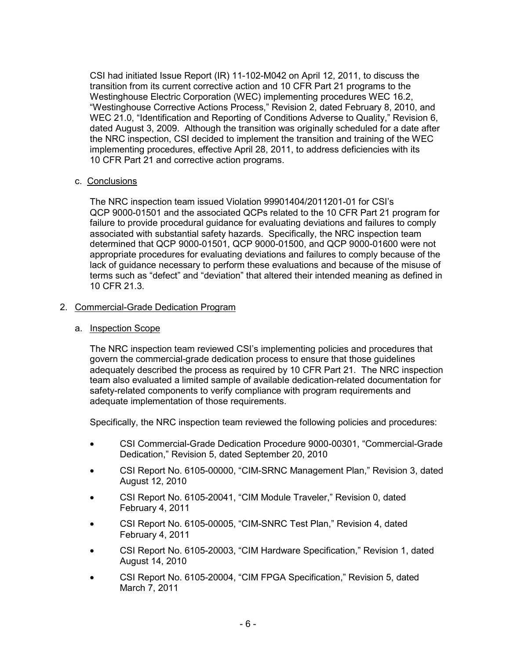CSI had initiated Issue Report (IR) 11-102-M042 on April 12, 2011, to discuss the transition from its current corrective action and 10 CFR Part 21 programs to the Westinghouse Electric Corporation (WEC) implementing procedures WEC 16.2, "Westinghouse Corrective Actions Process," Revision 2, dated February 8, 2010, and WEC 21.0, "Identification and Reporting of Conditions Adverse to Quality," Revision 6, dated August 3, 2009. Although the transition was originally scheduled for a date after the NRC inspection, CSI decided to implement the transition and training of the WEC implementing procedures, effective April 28, 2011, to address deficiencies with its 10 CFR Part 21 and corrective action programs.

## c. Conclusions

The NRC inspection team issued Violation 99901404/2011201-01 for CSI's QCP 9000-01501 and the associated QCPs related to the 10 CFR Part 21 program for failure to provide procedural guidance for evaluating deviations and failures to comply associated with substantial safety hazards. Specifically, the NRC inspection team determined that QCP 9000-01501, QCP 9000-01500, and QCP 9000-01600 were not appropriate procedures for evaluating deviations and failures to comply because of the lack of guidance necessary to perform these evaluations and because of the misuse of terms such as "defect" and "deviation" that altered their intended meaning as defined in 10 CFR 21.3.

#### 2. Commercial-Grade Dedication Program

#### a. Inspection Scope

The NRC inspection team reviewed CSI's implementing policies and procedures that govern the commercial-grade dedication process to ensure that those guidelines adequately described the process as required by 10 CFR Part 21. The NRC inspection team also evaluated a limited sample of available dedication-related documentation for safety-related components to verify compliance with program requirements and adequate implementation of those requirements.

Specifically, the NRC inspection team reviewed the following policies and procedures:

- CSI Commercial-Grade Dedication Procedure 9000-00301, "Commercial-Grade Dedication," Revision 5, dated September 20, 2010
- CSI Report No. 6105-00000, "CIM-SRNC Management Plan," Revision 3, dated August 12, 2010
- CSI Report No. 6105-20041, "CIM Module Traveler," Revision 0, dated February 4, 2011
- CSI Report No. 6105-00005, "CIM-SNRC Test Plan," Revision 4, dated February 4, 2011
- CSI Report No. 6105-20003, "CIM Hardware Specification," Revision 1, dated August 14, 2010
- CSI Report No. 6105-20004, "CIM FPGA Specification," Revision 5, dated March 7, 2011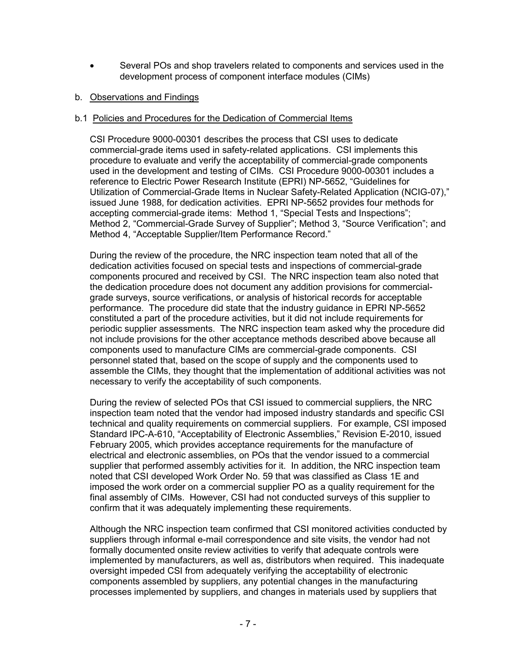• Several POs and shop travelers related to components and services used in the development process of component interface modules (CIMs)

## b. Observations and Findings

#### b.1 Policies and Procedures for the Dedication of Commercial Items

CSI Procedure 9000-00301 describes the process that CSI uses to dedicate commercial-grade items used in safety-related applications. CSI implements this procedure to evaluate and verify the acceptability of commercial-grade components used in the development and testing of CIMs. CSI Procedure 9000-00301 includes a reference to Electric Power Research Institute (EPRI) NP-5652, "Guidelines for Utilization of Commercial-Grade Items in Nuclear Safety-Related Application (NCIG-07)," issued June 1988, for dedication activities. EPRI NP-5652 provides four methods for accepting commercial-grade items: Method 1, "Special Tests and Inspections"; Method 2, "Commercial-Grade Survey of Supplier"; Method 3, "Source Verification"; and Method 4, "Acceptable Supplier/Item Performance Record."

During the review of the procedure, the NRC inspection team noted that all of the dedication activities focused on special tests and inspections of commercial-grade components procured and received by CSI. The NRC inspection team also noted that the dedication procedure does not document any addition provisions for commercialgrade surveys, source verifications, or analysis of historical records for acceptable performance. The procedure did state that the industry guidance in EPRI NP-5652 constituted a part of the procedure activities, but it did not include requirements for periodic supplier assessments. The NRC inspection team asked why the procedure did not include provisions for the other acceptance methods described above because all components used to manufacture CIMs are commercial-grade components. CSI personnel stated that, based on the scope of supply and the components used to assemble the CIMs, they thought that the implementation of additional activities was not necessary to verify the acceptability of such components.

During the review of selected POs that CSI issued to commercial suppliers, the NRC inspection team noted that the vendor had imposed industry standards and specific CSI technical and quality requirements on commercial suppliers. For example, CSI imposed Standard IPC-A-610, "Acceptability of Electronic Assemblies," Revision E-2010, issued February 2005, which provides acceptance requirements for the manufacture of electrical and electronic assemblies, on POs that the vendor issued to a commercial supplier that performed assembly activities for it. In addition, the NRC inspection team noted that CSI developed Work Order No. 59 that was classified as Class 1E and imposed the work order on a commercial supplier PO as a quality requirement for the final assembly of CIMs. However, CSI had not conducted surveys of this supplier to confirm that it was adequately implementing these requirements.

Although the NRC inspection team confirmed that CSI monitored activities conducted by suppliers through informal e-mail correspondence and site visits, the vendor had not formally documented onsite review activities to verify that adequate controls were implemented by manufacturers, as well as, distributors when required. This inadequate oversight impeded CSI from adequately verifying the acceptability of electronic components assembled by suppliers, any potential changes in the manufacturing processes implemented by suppliers, and changes in materials used by suppliers that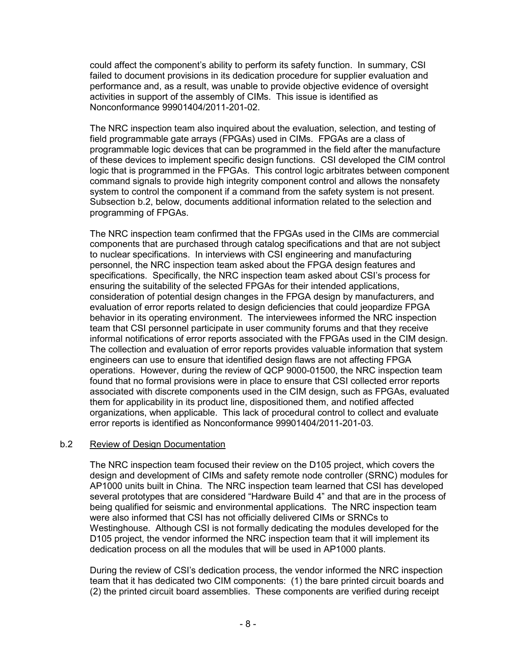could affect the component's ability to perform its safety function. In summary, CSI failed to document provisions in its dedication procedure for supplier evaluation and performance and, as a result, was unable to provide objective evidence of oversight activities in support of the assembly of CIMs. This issue is identified as Nonconformance 99901404/2011-201-02.

The NRC inspection team also inquired about the evaluation, selection, and testing of field programmable gate arrays (FPGAs) used in CIMs. FPGAs are a class of programmable logic devices that can be programmed in the field after the manufacture of these devices to implement specific design functions. CSI developed the CIM control logic that is programmed in the FPGAs. This control logic arbitrates between component command signals to provide high integrity component control and allows the nonsafety system to control the component if a command from the safety system is not present. Subsection b.2, below, documents additional information related to the selection and programming of FPGAs.

The NRC inspection team confirmed that the FPGAs used in the CIMs are commercial components that are purchased through catalog specifications and that are not subject to nuclear specifications. In interviews with CSI engineering and manufacturing personnel, the NRC inspection team asked about the FPGA design features and specifications. Specifically, the NRC inspection team asked about CSI's process for ensuring the suitability of the selected FPGAs for their intended applications, consideration of potential design changes in the FPGA design by manufacturers, and evaluation of error reports related to design deficiencies that could jeopardize FPGA behavior in its operating environment. The interviewees informed the NRC inspection team that CSI personnel participate in user community forums and that they receive informal notifications of error reports associated with the FPGAs used in the CIM design. The collection and evaluation of error reports provides valuable information that system engineers can use to ensure that identified design flaws are not affecting FPGA operations. However, during the review of QCP 9000-01500, the NRC inspection team found that no formal provisions were in place to ensure that CSI collected error reports associated with discrete components used in the CIM design, such as FPGAs, evaluated them for applicability in its product line, dispositioned them, and notified affected organizations, when applicable. This lack of procedural control to collect and evaluate error reports is identified as Nonconformance 99901404/2011-201-03.

## b.2 Review of Design Documentation

The NRC inspection team focused their review on the D105 project, which covers the design and development of CIMs and safety remote node controller (SRNC) modules for AP1000 units built in China. The NRC inspection team learned that CSI has developed several prototypes that are considered "Hardware Build 4" and that are in the process of being qualified for seismic and environmental applications. The NRC inspection team were also informed that CSI has not officially delivered CIMs or SRNCs to Westinghouse. Although CSI is not formally dedicating the modules developed for the D105 project, the vendor informed the NRC inspection team that it will implement its dedication process on all the modules that will be used in AP1000 plants.

During the review of CSI's dedication process, the vendor informed the NRC inspection team that it has dedicated two CIM components: (1) the bare printed circuit boards and (2) the printed circuit board assemblies. These components are verified during receipt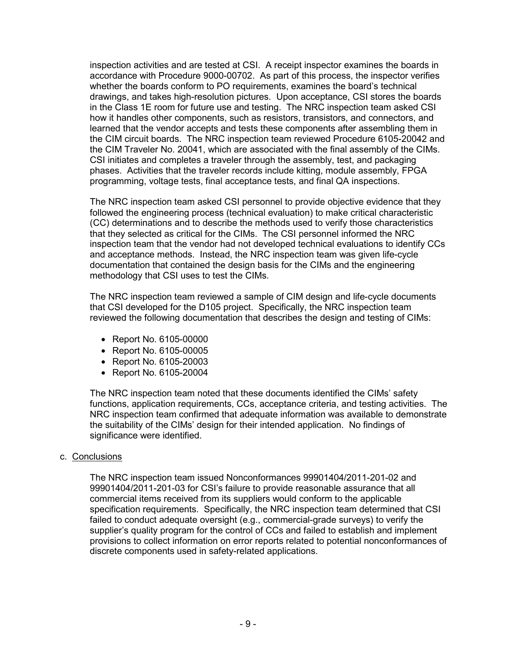inspection activities and are tested at CSI. A receipt inspector examines the boards in accordance with Procedure 9000-00702. As part of this process, the inspector verifies whether the boards conform to PO requirements, examines the board's technical drawings, and takes high-resolution pictures. Upon acceptance, CSI stores the boards in the Class 1E room for future use and testing. The NRC inspection team asked CSI how it handles other components, such as resistors, transistors, and connectors, and learned that the vendor accepts and tests these components after assembling them in the CIM circuit boards. The NRC inspection team reviewed Procedure 6105-20042 and the CIM Traveler No. 20041, which are associated with the final assembly of the CIMs. CSI initiates and completes a traveler through the assembly, test, and packaging phases. Activities that the traveler records include kitting, module assembly, FPGA programming, voltage tests, final acceptance tests, and final QA inspections.

The NRC inspection team asked CSI personnel to provide objective evidence that they followed the engineering process (technical evaluation) to make critical characteristic (CC) determinations and to describe the methods used to verify those characteristics that they selected as critical for the CIMs. The CSI personnel informed the NRC inspection team that the vendor had not developed technical evaluations to identify CCs and acceptance methods. Instead, the NRC inspection team was given life-cycle documentation that contained the design basis for the CIMs and the engineering methodology that CSI uses to test the CIMs.

The NRC inspection team reviewed a sample of CIM design and life-cycle documents that CSI developed for the D105 project. Specifically, the NRC inspection team reviewed the following documentation that describes the design and testing of CIMs:

- Report No. 6105-00000
- Report No. 6105-00005
- Report No. 6105-20003
- Report No. 6105-20004

The NRC inspection team noted that these documents identified the CIMs' safety functions, application requirements, CCs, acceptance criteria, and testing activities. The NRC inspection team confirmed that adequate information was available to demonstrate the suitability of the CIMs' design for their intended application. No findings of significance were identified.

## c. Conclusions

The NRC inspection team issued Nonconformances 99901404/2011-201-02 and 99901404/2011-201-03 for CSI's failure to provide reasonable assurance that all commercial items received from its suppliers would conform to the applicable specification requirements. Specifically, the NRC inspection team determined that CSI failed to conduct adequate oversight (e.g., commercial-grade surveys) to verify the supplier's quality program for the control of CCs and failed to establish and implement provisions to collect information on error reports related to potential nonconformances of discrete components used in safety-related applications.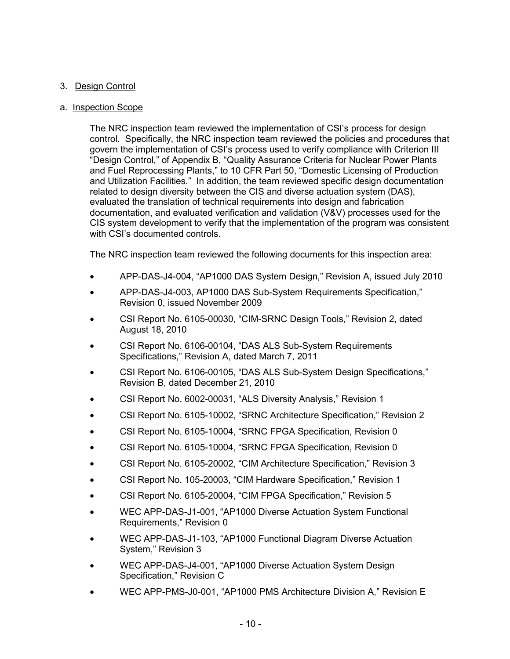# 3. Design Control

## a. Inspection Scope

The NRC inspection team reviewed the implementation of CSI's process for design control. Specifically, the NRC inspection team reviewed the policies and procedures that govern the implementation of CSI's process used to verify compliance with Criterion III "Design Control," of Appendix B, "Quality Assurance Criteria for Nuclear Power Plants and Fuel Reprocessing Plants," to 10 CFR Part 50, "Domestic Licensing of Production and Utilization Facilities." In addition, the team reviewed specific design documentation related to design diversity between the CIS and diverse actuation system (DAS), evaluated the translation of technical requirements into design and fabrication documentation, and evaluated verification and validation (V&V) processes used for the CIS system development to verify that the implementation of the program was consistent with CSI's documented controls.

The NRC inspection team reviewed the following documents for this inspection area:

- APP-DAS-J4-004, "AP1000 DAS System Design," Revision A, issued July 2010
- APP-DAS-J4-003, AP1000 DAS Sub-System Requirements Specification," Revision 0, issued November 2009
- CSI Report No. 6105-00030, "CIM-SRNC Design Tools," Revision 2, dated August 18, 2010
- CSI Report No. 6106-00104, "DAS ALS Sub-System Requirements Specifications," Revision A, dated March 7, 2011
- CSI Report No. 6106-00105, "DAS ALS Sub-System Design Specifications," Revision B, dated December 21, 2010
- CSI Report No. 6002-00031, "ALS Diversity Analysis," Revision 1
- CSI Report No. 6105-10002, "SRNC Architecture Specification," Revision 2
- CSI Report No. 6105-10004, "SRNC FPGA Specification, Revision 0
- CSI Report No. 6105-10004, "SRNC FPGA Specification, Revision 0
- CSI Report No. 6105-20002, "CIM Architecture Specification," Revision 3
- CSI Report No. 105-20003, "CIM Hardware Specification," Revision 1
- CSI Report No. 6105-20004, "CIM FPGA Specification," Revision 5
- WEC APP-DAS-J1-001, "AP1000 Diverse Actuation System Functional Requirements," Revision 0
- WEC APP-DAS-J1-103, "AP1000 Functional Diagram Diverse Actuation System," Revision 3
- WEC APP-DAS-J4-001, "AP1000 Diverse Actuation System Design Specification," Revision C
- WEC APP-PMS-J0-001, "AP1000 PMS Architecture Division A," Revision E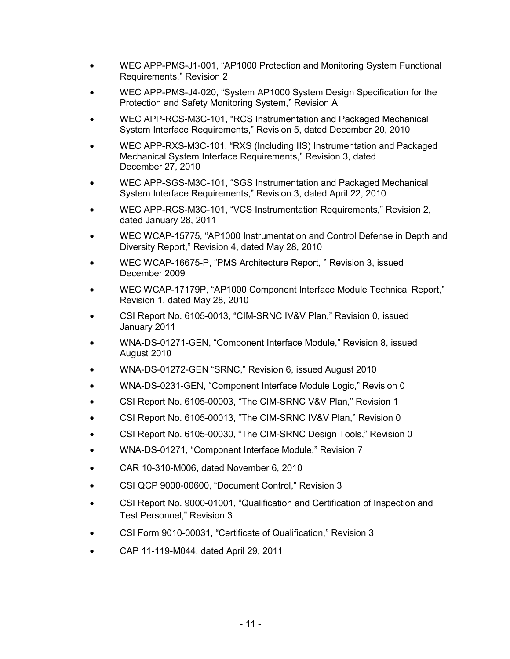- WEC APP-PMS-J1-001, "AP1000 Protection and Monitoring System Functional Requirements," Revision 2
- WEC APP-PMS-J4-020, "System AP1000 System Design Specification for the Protection and Safety Monitoring System," Revision A
- WEC APP-RCS-M3C-101, "RCS Instrumentation and Packaged Mechanical System Interface Requirements," Revision 5, dated December 20, 2010
- WEC APP-RXS-M3C-101, "RXS (Including IIS) Instrumentation and Packaged Mechanical System Interface Requirements," Revision 3, dated December 27, 2010
- WEC APP-SGS-M3C-101, "SGS Instrumentation and Packaged Mechanical System Interface Requirements," Revision 3, dated April 22, 2010
- WEC APP-RCS-M3C-101, "VCS Instrumentation Requirements," Revision 2, dated January 28, 2011
- WEC WCAP-15775, "AP1000 Instrumentation and Control Defense in Depth and Diversity Report," Revision 4, dated May 28, 2010
- WEC WCAP-16675-P, "PMS Architecture Report, " Revision 3, issued December 2009
- WEC WCAP-17179P, "AP1000 Component Interface Module Technical Report," Revision 1, dated May 28, 2010
- CSI Report No. 6105-0013, "CIM-SRNC IV&V Plan," Revision 0, issued January 2011
- WNA-DS-01271-GEN, "Component Interface Module," Revision 8, issued August 2010
- WNA-DS-01272-GEN "SRNC," Revision 6, issued August 2010
- WNA-DS-0231-GEN, "Component Interface Module Logic," Revision 0
- CSI Report No. 6105-00003, "The CIM-SRNC V&V Plan," Revision 1
- CSI Report No. 6105-00013, "The CIM-SRNC IV&V Plan," Revision 0
- CSI Report No. 6105-00030, "The CIM-SRNC Design Tools," Revision 0
- WNA-DS-01271, "Component Interface Module," Revision 7
- CAR 10-310-M006, dated November 6, 2010
- CSI QCP 9000-00600, "Document Control," Revision 3
- CSI Report No. 9000-01001, "Qualification and Certification of Inspection and Test Personnel," Revision 3
- CSI Form 9010-00031, "Certificate of Qualification," Revision 3
- CAP 11-119-M044, dated April 29, 2011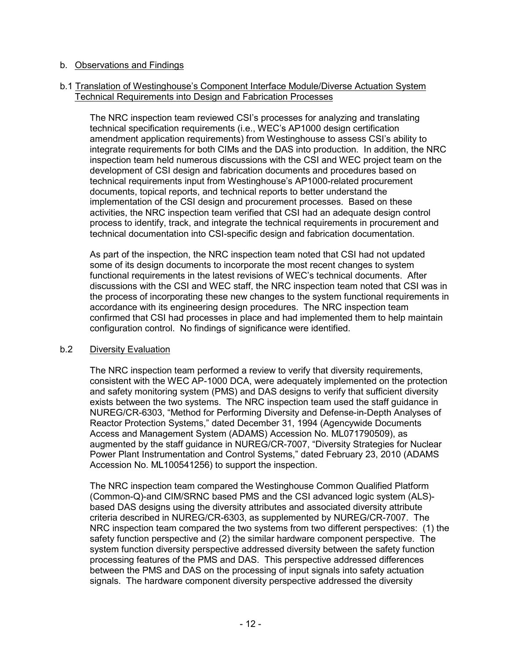#### b. Observations and Findings

#### b.1 Translation of Westinghouse's Component Interface Module/Diverse Actuation System Technical Requirements into Design and Fabrication Processes

The NRC inspection team reviewed CSI's processes for analyzing and translating technical specification requirements (i.e., WEC's AP1000 design certification amendment application requirements) from Westinghouse to assess CSI's ability to integrate requirements for both CIMs and the DAS into production. In addition, the NRC inspection team held numerous discussions with the CSI and WEC project team on the development of CSI design and fabrication documents and procedures based on technical requirements input from Westinghouse's AP1000-related procurement documents, topical reports, and technical reports to better understand the implementation of the CSI design and procurement processes. Based on these activities, the NRC inspection team verified that CSI had an adequate design control process to identify, track, and integrate the technical requirements in procurement and technical documentation into CSI-specific design and fabrication documentation.

As part of the inspection, the NRC inspection team noted that CSI had not updated some of its design documents to incorporate the most recent changes to system functional requirements in the latest revisions of WEC's technical documents. After discussions with the CSI and WEC staff, the NRC inspection team noted that CSI was in the process of incorporating these new changes to the system functional requirements in accordance with its engineering design procedures. The NRC inspection team confirmed that CSI had processes in place and had implemented them to help maintain configuration control. No findings of significance were identified.

## b.2 Diversity Evaluation

The NRC inspection team performed a review to verify that diversity requirements, consistent with the WEC AP-1000 DCA, were adequately implemented on the protection and safety monitoring system (PMS) and DAS designs to verify that sufficient diversity exists between the two systems. The NRC inspection team used the staff guidance in NUREG/CR-6303, "Method for Performing Diversity and Defense-in-Depth Analyses of Reactor Protection Systems," dated December 31, 1994 (Agencywide Documents Access and Management System (ADAMS) Accession No. ML071790509), as augmented by the staff guidance in NUREG/CR-7007, "Diversity Strategies for Nuclear Power Plant Instrumentation and Control Systems," dated February 23, 2010 (ADAMS Accession No. ML100541256) to support the inspection.

The NRC inspection team compared the Westinghouse Common Qualified Platform (Common-Q)-and CIM/SRNC based PMS and the CSI advanced logic system (ALS) based DAS designs using the diversity attributes and associated diversity attribute criteria described in NUREG/CR-6303, as supplemented by NUREG/CR-7007. The NRC inspection team compared the two systems from two different perspectives: (1) the safety function perspective and (2) the similar hardware component perspective. The system function diversity perspective addressed diversity between the safety function processing features of the PMS and DAS. This perspective addressed differences between the PMS and DAS on the processing of input signals into safety actuation signals. The hardware component diversity perspective addressed the diversity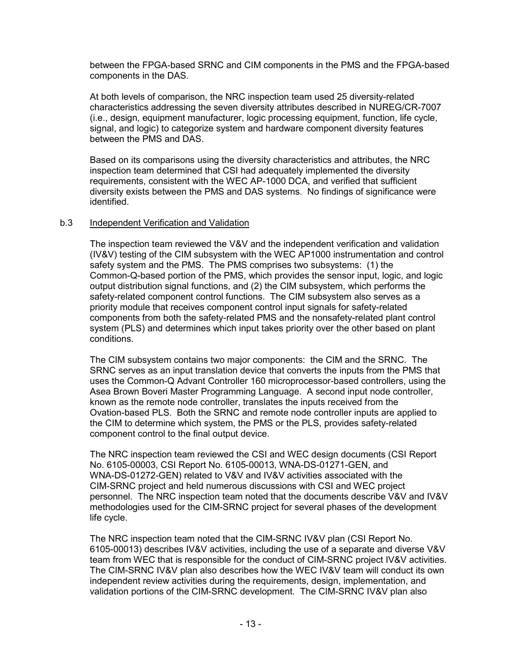between the FPGA-based SRNC and CIM components in the PMS and the FPGA-based components in the DAS.

At both levels of comparison, the NRC inspection team used 25 diversity-related characteristics addressing the seven diversity attributes described in NUREG/CR-7007 (i.e., design, equipment manufacturer, logic processing equipment, function, life cycle, signal, and logic) to categorize system and hardware component diversity features between the PMS and DAS.

Based on its comparisons using the diversity characteristics and attributes, the NRC inspection team determined that CSI had adequately implemented the diversity requirements, consistent with the WEC AP-1000 DCA, and verified that sufficient diversity exists between the PMS and DAS systems. No findings of significance were identified.

#### b.3 Independent Verification and Validation

The inspection team reviewed the V&V and the independent verification and validation (IV&V) testing of the CIM subsystem with the WEC AP1000 instrumentation and control safety system and the PMS. The PMS comprises two subsystems: (1) the Common-Q-based portion of the PMS, which provides the sensor input, logic, and logic output distribution signal functions, and (2) the CIM subsystem, which performs the safety-related component control functions. The CIM subsystem also serves as a priority module that receives component control input signals for safety-related components from both the safety-related PMS and the nonsafety-related plant control system (PLS) and determines which input takes priority over the other based on plant conditions.

The CIM subsystem contains two major components: the CIM and the SRNC. The SRNC serves as an input translation device that converts the inputs from the PMS that uses the Common-Q Advant Controller 160 microprocessor-based controllers, using the Asea Brown Boveri Master Programming Language. A second input node controller, known as the remote node controller, translates the inputs received from the Ovation-based PLS. Both the SRNC and remote node controller inputs are applied to the CIM to determine which system, the PMS or the PLS, provides safety-related component control to the final output device.

The NRC inspection team reviewed the CSI and WEC design documents (CSI Report No. 6105-00003, CSI Report No. 6105-00013, WNA-DS-01271-GEN, and WNA-DS-01272-GEN) related to V&V and IV&V activities associated with the CIM-SRNC project and held numerous discussions with CSI and WEC project personnel. The NRC inspection team noted that the documents describe V&V and IV&V methodologies used for the CIM-SRNC project for several phases of the development life cycle.

The NRC inspection team noted that the CIM-SRNC IV&V plan (CSI Report No. 6105-00013) describes IV&V activities, including the use of a separate and diverse V&V team from WEC that is responsible for the conduct of CIM-SRNC project IV&V activities. The CIM-SRNC IV&V plan also describes how the WEC IV&V team will conduct its own independent review activities during the requirements, design, implementation, and validation portions of the CIM-SRNC development. The CIM-SRNC IV&V plan also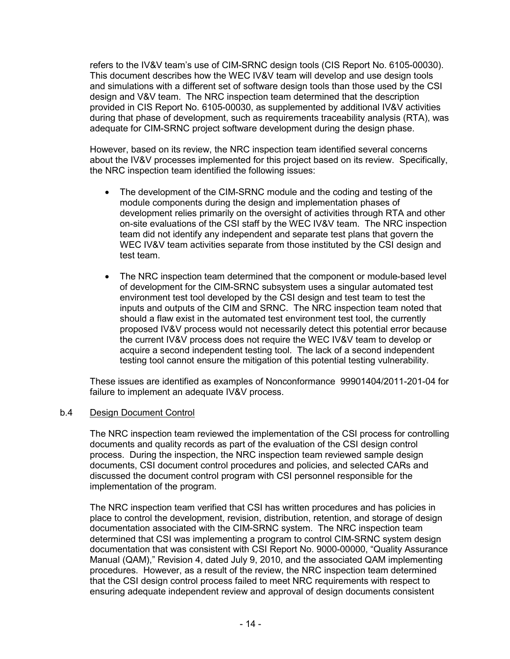refers to the IV&V team's use of CIM-SRNC design tools (CIS Report No. 6105-00030). This document describes how the WEC IV&V team will develop and use design tools and simulations with a different set of software design tools than those used by the CSI design and V&V team. The NRC inspection team determined that the description provided in CIS Report No. 6105-00030, as supplemented by additional IV&V activities during that phase of development, such as requirements traceability analysis (RTA), was adequate for CIM-SRNC project software development during the design phase.

However, based on its review, the NRC inspection team identified several concerns about the IV&V processes implemented for this project based on its review. Specifically, the NRC inspection team identified the following issues:

- The development of the CIM-SRNC module and the coding and testing of the module components during the design and implementation phases of development relies primarily on the oversight of activities through RTA and other on-site evaluations of the CSI staff by the WEC IV&V team. The NRC inspection team did not identify any independent and separate test plans that govern the WEC IV&V team activities separate from those instituted by the CSI design and test team.
- The NRC inspection team determined that the component or module-based level of development for the CIM-SRNC subsystem uses a singular automated test environment test tool developed by the CSI design and test team to test the inputs and outputs of the CIM and SRNC. The NRC inspection team noted that should a flaw exist in the automated test environment test tool, the currently proposed IV&V process would not necessarily detect this potential error because the current IV&V process does not require the WEC IV&V team to develop or acquire a second independent testing tool. The lack of a second independent testing tool cannot ensure the mitigation of this potential testing vulnerability.

These issues are identified as examples of Nonconformance 99901404/2011-201-04 for failure to implement an adequate IV&V process.

## b.4 Design Document Control

The NRC inspection team reviewed the implementation of the CSI process for controlling documents and quality records as part of the evaluation of the CSI design control process. During the inspection, the NRC inspection team reviewed sample design documents, CSI document control procedures and policies, and selected CARs and discussed the document control program with CSI personnel responsible for the implementation of the program.

The NRC inspection team verified that CSI has written procedures and has policies in place to control the development, revision, distribution, retention, and storage of design documentation associated with the CIM-SRNC system. The NRC inspection team determined that CSI was implementing a program to control CIM-SRNC system design documentation that was consistent with CSI Report No. 9000-00000, "Quality Assurance Manual (QAM)," Revision 4, dated July 9, 2010, and the associated QAM implementing procedures. However, as a result of the review, the NRC inspection team determined that the CSI design control process failed to meet NRC requirements with respect to ensuring adequate independent review and approval of design documents consistent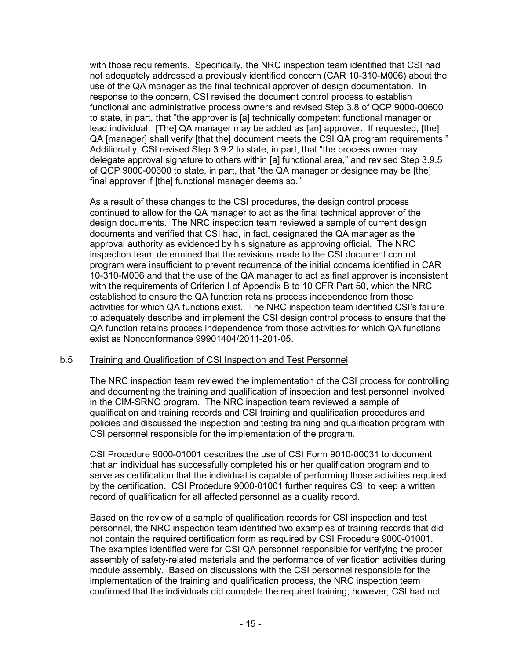with those requirements. Specifically, the NRC inspection team identified that CSI had not adequately addressed a previously identified concern (CAR 10-310-M006) about the use of the QA manager as the final technical approver of design documentation. In response to the concern, CSI revised the document control process to establish functional and administrative process owners and revised Step 3.8 of QCP 9000-00600 to state, in part, that "the approver is [a] technically competent functional manager or lead individual. [The] QA manager may be added as [an] approver. If requested, [the] QA [manager] shall verify [that the] document meets the CSI QA program requirements." Additionally, CSI revised Step 3.9.2 to state, in part, that "the process owner may delegate approval signature to others within [a] functional area," and revised Step 3.9.5 of QCP 9000-00600 to state, in part, that "the QA manager or designee may be [the] final approver if [the] functional manager deems so."

As a result of these changes to the CSI procedures, the design control process continued to allow for the QA manager to act as the final technical approver of the design documents. The NRC inspection team reviewed a sample of current design documents and verified that CSI had, in fact, designated the QA manager as the approval authority as evidenced by his signature as approving official. The NRC inspection team determined that the revisions made to the CSI document control program were insufficient to prevent recurrence of the initial concerns identified in CAR 10-310-M006 and that the use of the QA manager to act as final approver is inconsistent with the requirements of Criterion I of Appendix B to 10 CFR Part 50, which the NRC established to ensure the QA function retains process independence from those activities for which QA functions exist. The NRC inspection team identified CSI's failure to adequately describe and implement the CSI design control process to ensure that the QA function retains process independence from those activities for which QA functions exist as Nonconformance 99901404/2011-201-05.

## b.5 Training and Qualification of CSI Inspection and Test Personnel

The NRC inspection team reviewed the implementation of the CSI process for controlling and documenting the training and qualification of inspection and test personnel involved in the CIM-SRNC program. The NRC inspection team reviewed a sample of qualification and training records and CSI training and qualification procedures and policies and discussed the inspection and testing training and qualification program with CSI personnel responsible for the implementation of the program.

CSI Procedure 9000-01001 describes the use of CSI Form 9010-00031 to document that an individual has successfully completed his or her qualification program and to serve as certification that the individual is capable of performing those activities required by the certification. CSI Procedure 9000-01001 further requires CSI to keep a written record of qualification for all affected personnel as a quality record.

Based on the review of a sample of qualification records for CSI inspection and test personnel, the NRC inspection team identified two examples of training records that did not contain the required certification form as required by CSI Procedure 9000-01001. The examples identified were for CSI QA personnel responsible for verifying the proper assembly of safety-related materials and the performance of verification activities during module assembly. Based on discussions with the CSI personnel responsible for the implementation of the training and qualification process, the NRC inspection team confirmed that the individuals did complete the required training; however, CSI had not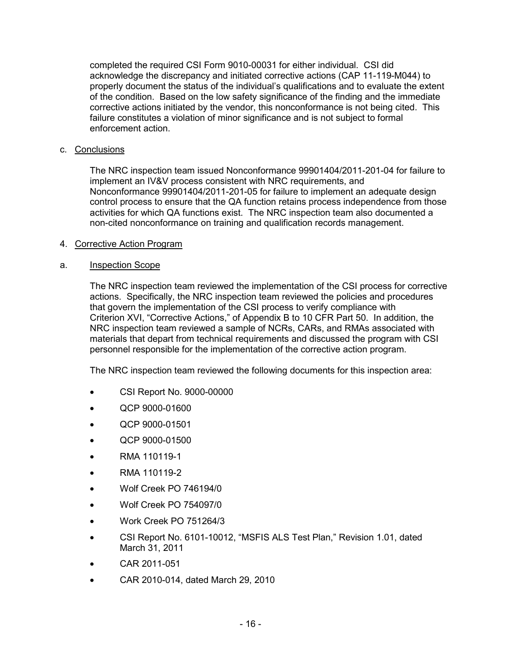completed the required CSI Form 9010-00031 for either individual. CSI did acknowledge the discrepancy and initiated corrective actions (CAP 11-119-M044) to properly document the status of the individual's qualifications and to evaluate the extent of the condition. Based on the low safety significance of the finding and the immediate corrective actions initiated by the vendor, this nonconformance is not being cited. This failure constitutes a violation of minor significance and is not subject to formal enforcement action.

## c. Conclusions

The NRC inspection team issued Nonconformance 99901404/2011-201-04 for failure to implement an IV&V process consistent with NRC requirements, and Nonconformance 99901404/2011-201-05 for failure to implement an adequate design control process to ensure that the QA function retains process independence from those activities for which QA functions exist. The NRC inspection team also documented a non-cited nonconformance on training and qualification records management.

# 4. Corrective Action Program

# a. Inspection Scope

The NRC inspection team reviewed the implementation of the CSI process for corrective actions. Specifically, the NRC inspection team reviewed the policies and procedures that govern the implementation of the CSI process to verify compliance with Criterion XVI, "Corrective Actions," of Appendix B to 10 CFR Part 50. In addition, the NRC inspection team reviewed a sample of NCRs, CARs, and RMAs associated with materials that depart from technical requirements and discussed the program with CSI personnel responsible for the implementation of the corrective action program.

The NRC inspection team reviewed the following documents for this inspection area:

- CSI Report No. 9000-00000
- QCP 9000-01600
- QCP 9000-01501
- QCP 9000-01500
- RMA 110119-1
- RMA 110119-2
- Wolf Creek PO 746194/0
- Wolf Creek PO 754097/0
- Work Creek PO 751264/3
- CSI Report No. 6101-10012, "MSFIS ALS Test Plan," Revision 1.01, dated March 31, 2011
- CAR 2011-051
- CAR 2010-014, dated March 29, 2010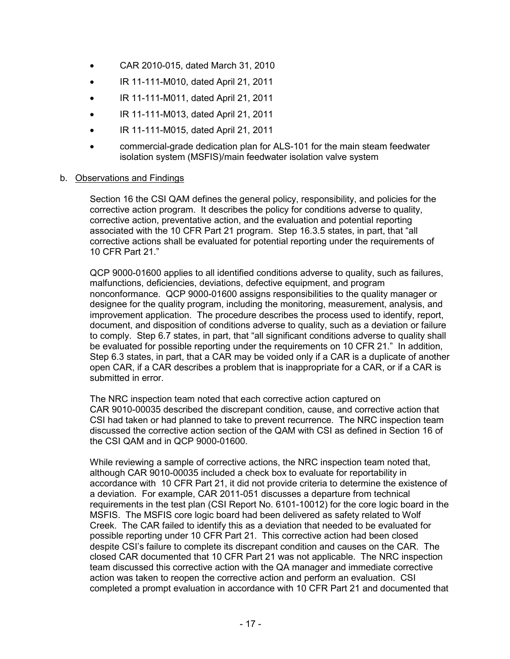- CAR 2010-015, dated March 31, 2010
- IR 11-111-M010, dated April 21, 2011
- IR 11-111-M011, dated April 21, 2011
- IR 11-111-M013, dated April 21, 2011
- IR 11-111-M015, dated April 21, 2011
- commercial-grade dedication plan for ALS-101 for the main steam feedwater isolation system (MSFIS)/main feedwater isolation valve system

#### b. Observations and Findings

Section 16 the CSI QAM defines the general policy, responsibility, and policies for the corrective action program. It describes the policy for conditions adverse to quality, corrective action, preventative action, and the evaluation and potential reporting associated with the 10 CFR Part 21 program. Step 16.3.5 states, in part, that "all corrective actions shall be evaluated for potential reporting under the requirements of 10 CFR Part 21."

QCP 9000-01600 applies to all identified conditions adverse to quality, such as failures, malfunctions, deficiencies, deviations, defective equipment, and program nonconformance. QCP 9000-01600 assigns responsibilities to the quality manager or designee for the quality program, including the monitoring, measurement, analysis, and improvement application. The procedure describes the process used to identify, report, document, and disposition of conditions adverse to quality, such as a deviation or failure to comply. Step 6.7 states, in part, that "all significant conditions adverse to quality shall be evaluated for possible reporting under the requirements on 10 CFR 21." In addition, Step 6.3 states, in part, that a CAR may be voided only if a CAR is a duplicate of another open CAR, if a CAR describes a problem that is inappropriate for a CAR, or if a CAR is submitted in error.

The NRC inspection team noted that each corrective action captured on CAR 9010-00035 described the discrepant condition, cause, and corrective action that CSI had taken or had planned to take to prevent recurrence. The NRC inspection team discussed the corrective action section of the QAM with CSI as defined in Section 16 of the CSI QAM and in QCP 9000-01600.

While reviewing a sample of corrective actions, the NRC inspection team noted that, although CAR 9010-00035 included a check box to evaluate for reportability in accordance with 10 CFR Part 21, it did not provide criteria to determine the existence of a deviation. For example, CAR 2011-051 discusses a departure from technical requirements in the test plan (CSI Report No. 6101-10012) for the core logic board in the MSFIS. The MSFIS core logic board had been delivered as safety related to Wolf Creek. The CAR failed to identify this as a deviation that needed to be evaluated for possible reporting under 10 CFR Part 21. This corrective action had been closed despite CSI's failure to complete its discrepant condition and causes on the CAR. The closed CAR documented that 10 CFR Part 21 was not applicable. The NRC inspection team discussed this corrective action with the QA manager and immediate corrective action was taken to reopen the corrective action and perform an evaluation. CSI completed a prompt evaluation in accordance with 10 CFR Part 21 and documented that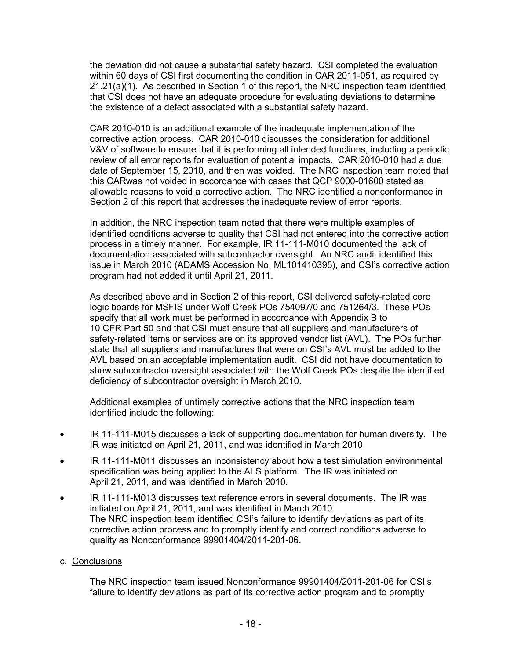the deviation did not cause a substantial safety hazard. CSI completed the evaluation within 60 days of CSI first documenting the condition in CAR 2011-051, as required by 21.21(a)(1). As described in Section 1 of this report, the NRC inspection team identified that CSI does not have an adequate procedure for evaluating deviations to determine the existence of a defect associated with a substantial safety hazard.

CAR 2010-010 is an additional example of the inadequate implementation of the corrective action process. CAR 2010-010 discusses the consideration for additional V&V of software to ensure that it is performing all intended functions, including a periodic review of all error reports for evaluation of potential impacts. CAR 2010-010 had a due date of September 15, 2010, and then was voided. The NRC inspection team noted that this CARwas not voided in accordance with cases that QCP 9000-01600 stated as allowable reasons to void a corrective action. The NRC identified a nonconformance in Section 2 of this report that addresses the inadequate review of error reports.

In addition, the NRC inspection team noted that there were multiple examples of identified conditions adverse to quality that CSI had not entered into the corrective action process in a timely manner. For example, IR 11-111-M010 documented the lack of documentation associated with subcontractor oversight. An NRC audit identified this issue in March 2010 (ADAMS Accession No. ML101410395), and CSI's corrective action program had not added it until April 21, 2011.

As described above and in Section 2 of this report, CSI delivered safety-related core logic boards for MSFIS under Wolf Creek POs 754097/0 and 751264/3. These POs specify that all work must be performed in accordance with Appendix B to 10 CFR Part 50 and that CSI must ensure that all suppliers and manufacturers of safety-related items or services are on its approved vendor list (AVL). The POs further state that all suppliers and manufactures that were on CSI's AVL must be added to the AVL based on an acceptable implementation audit. CSI did not have documentation to show subcontractor oversight associated with the Wolf Creek POs despite the identified deficiency of subcontractor oversight in March 2010.

Additional examples of untimely corrective actions that the NRC inspection team identified include the following:

- IR 11-111-M015 discusses a lack of supporting documentation for human diversity. The IR was initiated on April 21, 2011, and was identified in March 2010.
- IR 11-111-M011 discusses an inconsistency about how a test simulation environmental specification was being applied to the ALS platform. The IR was initiated on April 21, 2011, and was identified in March 2010.
- IR 11-111-M013 discusses text reference errors in several documents. The IR was initiated on April 21, 2011, and was identified in March 2010. The NRC inspection team identified CSI's failure to identify deviations as part of its corrective action process and to promptly identify and correct conditions adverse to quality as Nonconformance 99901404/2011-201-06.
- c. Conclusions

The NRC inspection team issued Nonconformance 99901404/2011-201-06 for CSI's failure to identify deviations as part of its corrective action program and to promptly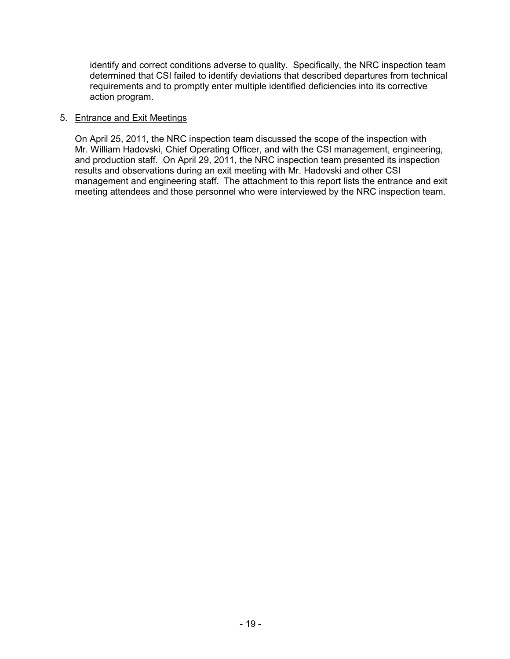identify and correct conditions adverse to quality. Specifically, the NRC inspection team determined that CSI failed to identify deviations that described departures from technical requirements and to promptly enter multiple identified deficiencies into its corrective action program.

#### 5. Entrance and Exit Meetings

On April 25, 2011, the NRC inspection team discussed the scope of the inspection with Mr. William Hadovski, Chief Operating Officer, and with the CSI management, engineering, and production staff. On April 29, 2011, the NRC inspection team presented its inspection results and observations during an exit meeting with Mr. Hadovski and other CSI management and engineering staff. The attachment to this report lists the entrance and exit meeting attendees and those personnel who were interviewed by the NRC inspection team.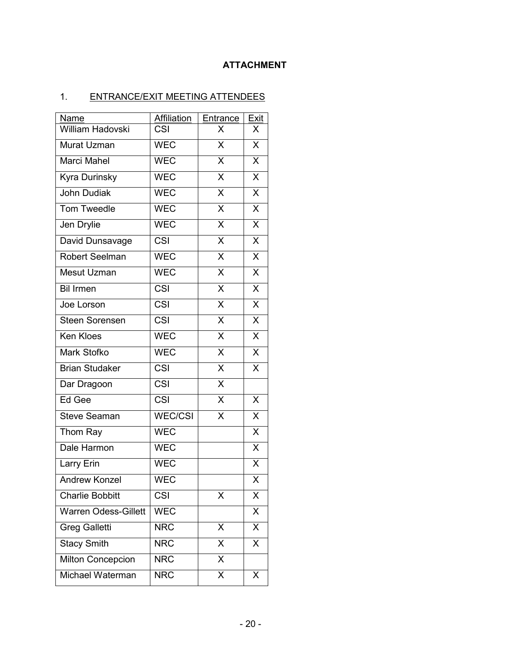# **ATTACHMENT**

# 1. ENTRANCE/EXIT MEETING ATTENDEES

| Name                        | Affiliation              | Entrance                | Exit                    |
|-----------------------------|--------------------------|-------------------------|-------------------------|
| <b>William Hadovski</b>     | $\overline{\text{CS}}$ l | X                       | X                       |
| Murat Uzman                 | <b>WEC</b>               | $\overline{\mathsf{X}}$ | $\overline{\mathsf{x}}$ |
| Marci Mahel                 | WEC                      | $\overline{X}$          | X                       |
| Kyra Durinsky               | <b>WEC</b>               | $\overline{X}$          | $\overline{\mathsf{x}}$ |
| <b>John Dudiak</b>          | <b>WEC</b>               | $\overline{\mathsf{x}}$ | $\overline{\mathsf{x}}$ |
| Tom Tweedle                 | <b>WEC</b>               | $\overline{\mathsf{x}}$ | X                       |
| Jen Drylie                  | <b>WEC</b>               | $\overline{\mathsf{x}}$ | $\overline{\mathsf{x}}$ |
| David Dunsavage             | <b>CSI</b>               | $\overline{X}$          | X                       |
| <b>Robert Seelman</b>       | <b>WEC</b>               | $\overline{\mathsf{x}}$ | $\overline{\mathsf{x}}$ |
| Mesut Uzman                 | <b>WEC</b>               | $\overline{\mathsf{x}}$ | $\overline{\mathsf{x}}$ |
| <b>Bil Irmen</b>            | <b>CSI</b>               | $\overline{\mathsf{x}}$ | $\overline{X}$          |
| Joe Lorson                  | <b>CSI</b>               | $\overline{\mathsf{x}}$ | $\overline{\mathsf{x}}$ |
| <b>Steen Sorensen</b>       | <b>CSI</b>               | $\overline{X}$          | $\overline{\mathsf{x}}$ |
| Ken Kloes                   | <b>WEC</b>               | $\overline{\mathsf{x}}$ | $\overline{\mathsf{x}}$ |
| Mark Stofko                 | <b>WEC</b>               | $\overline{X}$          | $\overline{\mathsf{x}}$ |
| <b>Brian Studaker</b>       | CSI                      | $\mathsf X$             | X                       |
| Dar Dragoon                 | <b>CSI</b>               | $\overline{\mathsf{x}}$ |                         |
| Ed Gee                      | <b>CSI</b>               | $\overline{\mathsf{X}}$ | X                       |
| <b>Steve Seaman</b>         | <b>WEC/CSI</b>           | $\overline{\mathsf{x}}$ | $\overline{\mathsf{x}}$ |
| Thom Ray                    | <b>WEC</b>               |                         | $\overline{\mathsf{x}}$ |
| Dale Harmon                 | <b>WEC</b>               |                         | $\sf X$                 |
| Larry Erin                  | <b>WEC</b>               |                         | $\overline{\mathsf{x}}$ |
| <b>Andrew Konzel</b>        | <b>WEC</b>               |                         | $\overline{\mathsf{x}}$ |
| <b>Charlie Bobbitt</b>      | CSI                      | X                       | $\overline{\mathsf{x}}$ |
| <b>Warren Odess-Gillett</b> | <b>WEC</b>               |                         | X                       |
| <b>Greg Galletti</b>        | <b>NRC</b>               | X                       | $\overline{\mathsf{x}}$ |
| <b>Stacy Smith</b>          | <b>NRC</b>               | X                       | X                       |
| Milton Concepcion           | <b>NRC</b>               | $\overline{\mathsf{x}}$ |                         |
| Michael Waterman            | <b>NRC</b>               | X                       | Χ                       |